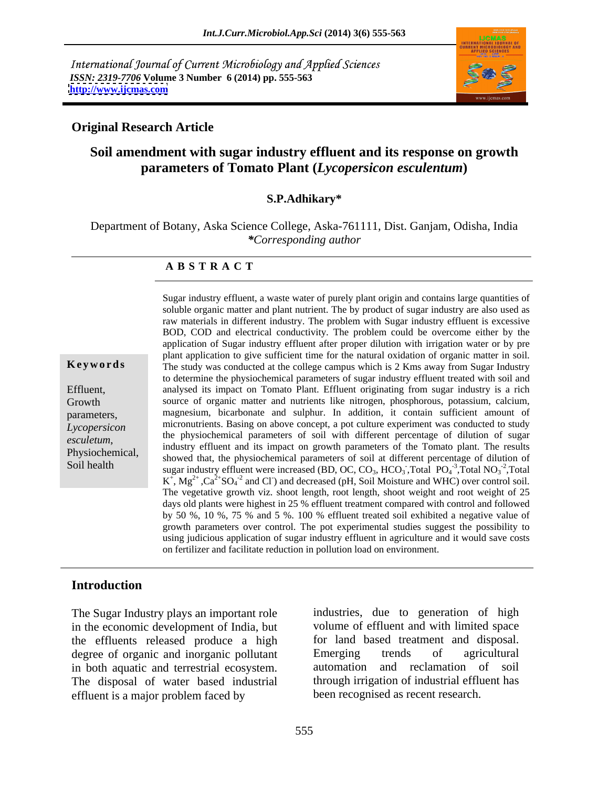International Journal of Current Microbiology and Applied Sciences *ISSN: 2319-7706* **Volume 3 Number 6 (2014) pp. 555-563 <http://www.ijcmas.com>**



### **Original Research Article**

## **Soil amendment with sugar industry effluent and its response on growth parameters of Tomato Plant (***Lycopersicon esculentum***)**

### **S.P.Adhikary\***

Department of Botany, Aska Science College, Aska-761111, Dist. Ganjam, Odisha, India *\*Corresponding author*

### **A B S T R A C T**

**Keywords** The study was conducted at the college campus which is 2 Kms away from Sugar Industry Effluent, analysed its impact on Tomato Plant. Effluent originating from sugar industry is a rich Growth source of organic matter and nutrients like nitrogen, phosphorous, potassium, calcium, parameters, magnesium, bicarbonate and sulphur. In addition, it contain sufficient amount of *Lycopersicon* micronutrients. Basing on above concept, a pot culture experiment was conducted to study *esculetum*,<br> **Physiochemical,** industry effluent and its impact on growth parameters of the Tomato plant. The results<br> **Physiochemical,** showed that the physiochemical parameters of soil at different perceptage of dilutio Soil health<br>sugar industry effluent were increased (BD, OC, CO<sub>3</sub>, HCO<sub>3</sub>, Total  $PO_4^{-3}$ , Total NO<sub>3</sub><sup>-2</sup>, Total Sugar industry effluent, a waste water of purely plant origin and contains large quantities of soluble organic matter and plant nutrient. The by product of sugar industry are also used as raw materials in different industry. The problem with Sugar industry effluent is excessive BOD, COD and electrical conductivity.The problem could be overcome either by the application of Sugar industry effluent after proper dilution with irrigation water or by pre plant application to give sufficient time for the natural oxidation of organic matter in soil. to determine the physiochemical parameters of sugar industry effluent treated with soil and the physiochemical parameters of soil with different percentage of dilution of sugar showed that, the physiochemical parameters of soil at different percentage of dilution of Total  $PO_4^{-3}$ ,Total  $NO_3^{-2}$ ,Total  $-3$  Total NO  $-2$  Total  $, \text{Total NO}_3^{-2}, \text{Total}$  $-2$  Total ,Total  $K^{\dagger}$ ,  $Mg^{2+}$ , $Ca^{2+}SO_4^{-2}$  and Cl<sup>-</sup>) and decreased (pH, Soil Moisture and WHC) over control soil. The vegetative growth viz. shoot length, root length, shoot weight and root weight of 25 days old plants were highest in 25 % effluent treatment compared with control and followed by 50 %, 10 %, 75 % and 5 %. 100 % effluent treated soil exhibited a negative value of growth parameters over control. The pot experimental studies suggest the possibility to using judicious application of sugar industry effluent in agriculture and it would save costs on fertilizer and facilitate reduction in pollution load on environment.

### **Introduction**

The Sugar Industry plays an important role in the economic development of India, but the effluents released produce a high degree of organic and inorganic pollutant Emerging trends of agricultural in both aquatic and terrestrial ecosystem. The disposal of water based industrial effluent is a major problem faced by

industries, due to generation of high volume of effluent and with limited space for land based treatment and disposal. Emerging trends of agricultural automation and reclamation of soil through irrigation of industrial effluent has been recognised as recent research.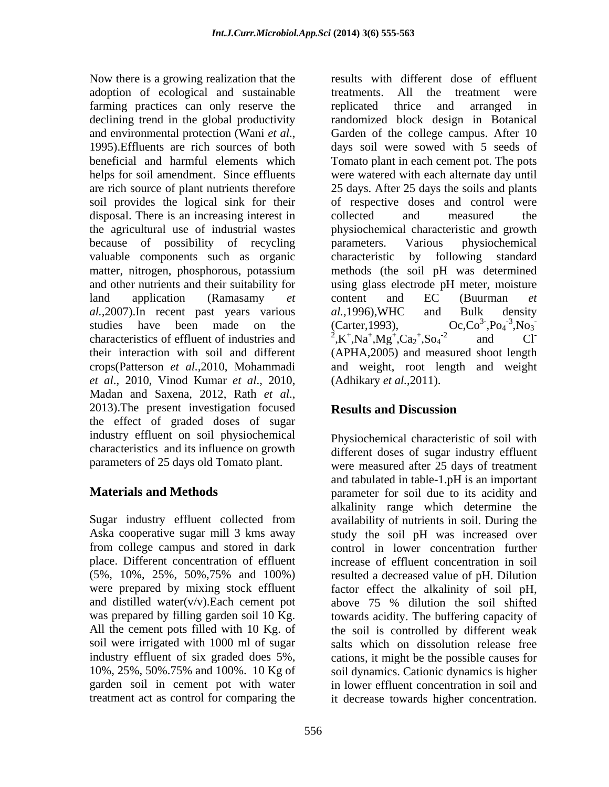Now there is a growing realization that the adoption of ecological and sustainable farming practices can only reserve the replicated thrice and arranged in soil provides the logical sink for their disposal. There is an increasing interest in collected and measured the because of possibility of recycling parameters. Various physiochemical valuable components such as organic characteristic by following standard *al.*,2007).In recent past years various *al.*,1996),WHC and Bulk density studies have been made on the (Carter,1993),  $Oc, Co^{3}$ , $Po_{4}^{-3}$ , $No_{3}^{-3}$ characteristics of effluent of industries and  $2 \cdot K^+ N a^+ N g^+ C a_2^+ S a_4^2$  and Cl *et al*., 2010, Vinod Kumar *et al*., 2010, Madan and Saxena, 2012, Rath *et al*., 2013).The present investigation focused the effect of graded doses of sugar industry effluent on soil physiochemical characteristics and its influence on growth parameters of 25 days old Tomato plant.

from college campus and stored in dark place. Different concentration of effluent

declining trend in the global productivity randomized block design in Botanical and environmental protection (Wani *et al.*, Garden of the college campus. After 10 1995). Effluents are rich sources of both days soil were sowed with 5 seeds of beneficial and harmful elements which Tomato plant in each cement pot. The pots helps for soil amendment. Since effluents were watered with each alternate day until are rich source of plant nutrients therefore 25 days. After 25 days the soils and plants the agricultural use of industrial wastes physiochemical characteristic and growth matter, nitrogen, phosphorous, potassium methods (the soil pH was determined and other nutrients and their suitability for using glass electrode pH meter, moisture land application (Ramasamy *et*  studies have been made on the  $(Carter, 1993)$ ,  $Oc, Co<sup>3</sup>, Po<sub>4</sub><sup>-3</sup>, No<sub>3</sub>$ their interaction with soiland different (APHA,2005) and measured shoot length crops(Patterson *et al.,*2010, Mohammadi and weight, root length and weight results with different dose of effluent treatments. All the treatment were replicated thrice and arranged in Garden of the college campus. After 10 days soil were sowed with 5 seeds of of respective doses and control were collected and measured the parameters. Various physiochemical characteristic by following standard content and EC (Buurman *et al.,*1996),WHC and Bulk density (Carter, 1993),  $Oc, Co^{3}$ ,  $Po_4^{-3}$ ,  $No_3$  $3 - D_0$   $-3 N_0$  $, Po<sub>4</sub><sup>-3</sup>, No<sub>3</sub><sup>-1</sup>$  $-3$   $\mathrm{N_{\odot}}$   $, No<sub>3</sub>$ **-** Construction of the construction <sup>2</sup>,K<sup>+</sup>,Na<sup>+</sup>,Mg<sup>+</sup>,Ca<sub>2</sub><sup>+</sup>,So<sub>4</sub><sup>-2</sup>  $,K^+$ , $Na^+$ , $Mg^+$ , $Ca_2^+$ , $So_4^{\text{-2}}$  and Cl  $,Na^+, Mg^+, Ca_2^+, So_4^2$  and Cl  $,Mg^{\dagger}, Ca_2^{\dagger}, So_4^{\dagger}$  and Cl  $,Ca_2^+, So_4^{\,-2}$  and Cl<sup>-</sup>  $,$ So<sub>4</sub><sup>-2</sup> and Cl<sup>-</sup>  $-2$  and  $Cl^$ and Cl- (Adhikary *et al.*,2011).

# **Results and Discussion**

**Materials and Methods** parameter for soil due to its acidity and Sugar industry effluent collected from availability of nutrients in soil. During the Aska cooperative sugar mill 3 kms away study the soil pH was increased over (5%, 10%, 25%, 50%,75% and 100%) resulted a decreased value of pH. Dilution were prepared by mixing stock effluent factor effect the alkalinity of soil pH, and distilled water(v/v).Each cement pot above 75 % dilution the soil shifted was prepared by filling garden soil 10 Kg. towards acidity. The buffering capacity of All the cement pots filled with 10 Kg. of the soil is controlled by different weak soil were irrigated with 1000 ml of sugar salts which on dissolution release free industry effluent of six graded does 5%, cations, it might be the possible causes for 10%, 25%, 50%.75% and 100%. 10 Kg of soil dynamics. Cationic dynamics is higher garden soil in cement pot with water in lower effluent concentration in soil and treatment act as control for comparing the it decrease towards higher concentration.Physiochemical characteristic of soil with different doses of sugar industry effluent were measured after 25 days of treatment and tabulated in table-1.pH is an important alkalinity range which determine the control in lower concentration further increase of effluent concentration in soil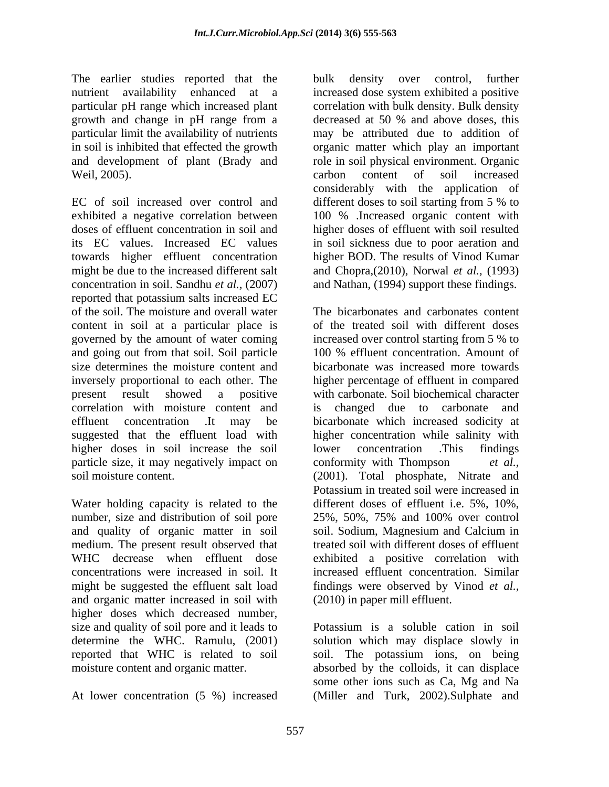The earlier studies reported that the bulk density over control, further particular pH range which increased plant growth and change in pH range from a decreased at 50 % and above doses, this particular limit the availability of nutrients

EC of soil increased over control and different doses to soil starting from 5 % to exhibited a negative correlation between 100 % .Increased organic content with doses of effluent concentration in soil and higher doses of effluent with soil resulted its EC values. Increased EC values in soil sickness due to poor aeration and towards higher effluent concentration might be due to the increased different salt and Chopra,(2010), Norwal *et al.,* (1993) concentration in soil. Sandhu *et al.,* (2007) and Nathan, (1994) support these findings. reported that potassium salts increased EC of the soil. The moisture and overall water The bicarbonates and carbonates content content in soil at a particular place is of the treated soil with different doses governed by the amount of water coming increased over control starting from 5 % to and going out from that soil. Soil particle 100 % effluent concentration. Amount of size determines the moisture content and inversely proportional to each other. The higher percentage of effluent in compared present result showed a positive with carbonate. Soil biochemical character correlation with moisture content and is changed due to carbonate and effluent concentration .It may be bicarbonate which increased sodicity at suggested that the effluent load with higher concentration while salinity with higher doses in soil increase the soil lower concentration .This findings particle size, it may negatively impact on conformity with Thompson *et al.*,

Water holding capacity is related to the number, size and distribution of soil pore 25%, 50%, 75% and 100% over control and quality of organic matter in soil soil. Sodium, Magnesium and Calcium in medium. The present result observed that WHC decrease when effluent dose exhibited a positive correlation with concentrations were increased in soil. It increased effluent concentration. Similar might be suggested the effluent salt load findings were observed by Vinod *et al.,* and organic matter increased in soil with higher doses which decreased number, size and quality of soil pore and it leads to<br>determine the WHC. Ramulu. (2001) solution which may displace slowly in determine the WHC. Ramulu, (2001) solution which may displace slowly in reported that WHC is related to soil soil. The potassium ions, on being

At lower concentration (5 %) increased (Miller and Turk, 2002).Sulphate and

nutrient availability enhanced at a increased dose system exhibited a positive in soil is inhibited that effected the growth organic matter which play an important and development of plant (Brady and role in soil physical environment. Organic Weil, 2005). Carbon content of soil increased density over control, correlation with bulk density. Bulk density decreased at 50 % and above doses, this may be attributed due to addition of carbon content of soil increased considerably with the application of different doses to soil starting from 5 % to higher BOD. The results of Vinod Kumar

soil moisture content. (2001). Total phosphate, Nitrate and 100 % effluent concentration. Amount of bicarbonate was increased more towards lower concentration .This findings conformity with Thompson Potassium in treated soil were increased in different doses of effluent i.e. 5%, 10%, soil. Sodium, Magnesium and Calcium in treated soil with different doses of effluent (2010) in paper mill effluent.

moisture content and organic matter. absorbed by the colloids, it can displace Potassium is a soluble cation in soil some other ions such as Ca, Mg and Na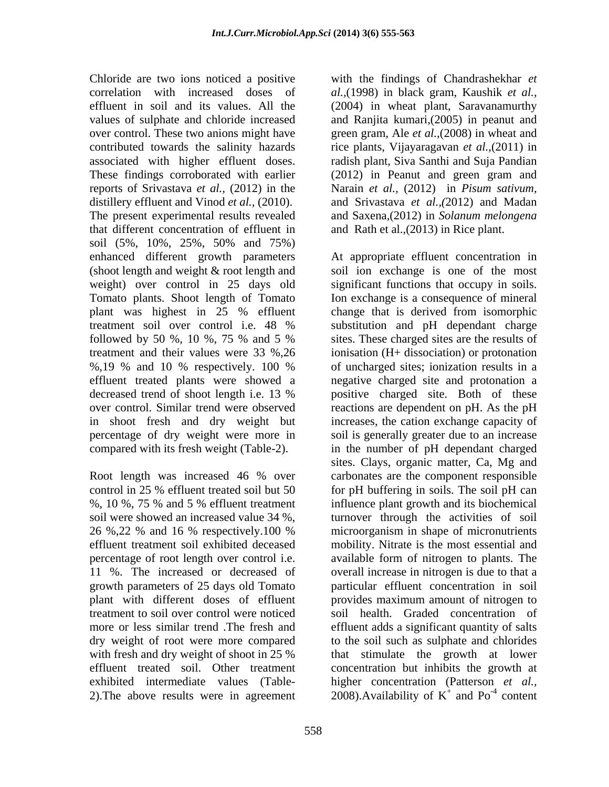Chloride are two ions noticed a positive with the findings of Chandrashekhar *et*  correlation with increased doses of *al.,*(1998) in black gram, Kaushik *et al.,* effluent in soil and its values. All the (2004) in wheat plant, Saravanamurthy values of sulphate and chloride increased and Ranjita kumari,(2005) in peanut and over control. These two anions might have green gram, Ale *et al.,*(2008) in wheat and contributed towards the salinity hazards rice plants, Vijayaragavan *et al.,*(2011) in associated with higher effluent doses. radish plant, Siva Santhi and Suja Pandian These findings corroborated with earlier (2012) in Peanut and green gram and reports of Srivastava *et al.,* (2012) in the Narain *et al.,* (2012) in *Pisum sativum,* distillery effluent and Vinod *et al.,* (2010). and Srivastava *et al.,(*2012) and Madan The present experimental results revealed and Saxena,(2012) in *Solanum melongena* that different concentration of effluent in soil (5%, 10%, 25%, 50% and 75%) enhanced different growth parameters At appropriate effluent concentration in (shoot length and weight & root length and weight) over control in 25 days old significant functions that occupy in soils. Tomato plants. Shoot length of Tomato Ion exchange is a consequence of mineral plant was highest in 25 % effluent treatment soil over control i.e. 48 % substitution and pH dependant charge followed by 50 %, 10 %, 75 % and 5 % ites. These charged sites are the results of treatment and their values were 33 %,26 ionisation (H+ dissociation) or protonation %,19 % and 10 % respectively. 100 % of uncharged sites; ionization results in a effluent treated plants were showed a negative charged site and protonation a decreased trend of shoot length i.e. 13 % positive charged site. Both of these over control. Similar trend were observed reactions are dependent on pH. As the pH in shoot fresh and dry weight but increases, the cation exchange capacity of percentage of dry weight were more in soil isgenerally greater due to an increase compared with its fresh weight (Table-2).

%, 10 %, 75 % and 5 % effluent treatment plant with different doses of effluent

and Rath et al.,(2013) in Rice plant.

Root length was increased 46 % over carbonates are the component responsible control in 25 % effluent treated soil but 50 for pH buffering in soils. The soil pH can soil were showed an increased value 34 %, turnover through the activities of soil 26 %,22 % and 16 % respectively.100 % effluent treatment soil exhibited deceased mobility. Nitrate is the most essential and percentage of root length over control i.e. available form of nitrogen to plants. The 11 %. The increased or decreased of overall increase in nitrogen is due to that a growth parameters of 25 days old Tomato particular effluent concentration in soil treatment to soil over control were noticed soil health. Graded concentration of more or less similar trend .The fresh and effluent adds a significant quantity of salts dry weight of root were more compared to the soil such as sulphate and chlorides with fresh and dry weight of shoot in 25 % that stimulate the growth at lower effluent treated soil. Other treatment concentration but inhibits the growth at exhibited intermediate values (Table- higher concentration (Patterson *et al.,* 2). The above results were in agreement 2008). Availability of  $K^+$  and  $Po^{-4}$  content soil ion exchange is one of the most change that is derived from isomorphic sites. These charged sites are the results of of uncharged sites; ionization results in a positive charged site. Both of these in the number of pH dependant charged sites. Clays, organic matter, Ca, Mg and carbonates are the component responsible influence plant growth and its biochemical microorganism in shape of micronutrients provides maximum amount of nitrogen to  $^+$  and  $\mathrm{Do}^{\text{-}4}$  contant and  $Po^{-4}$  content  $-4$  contant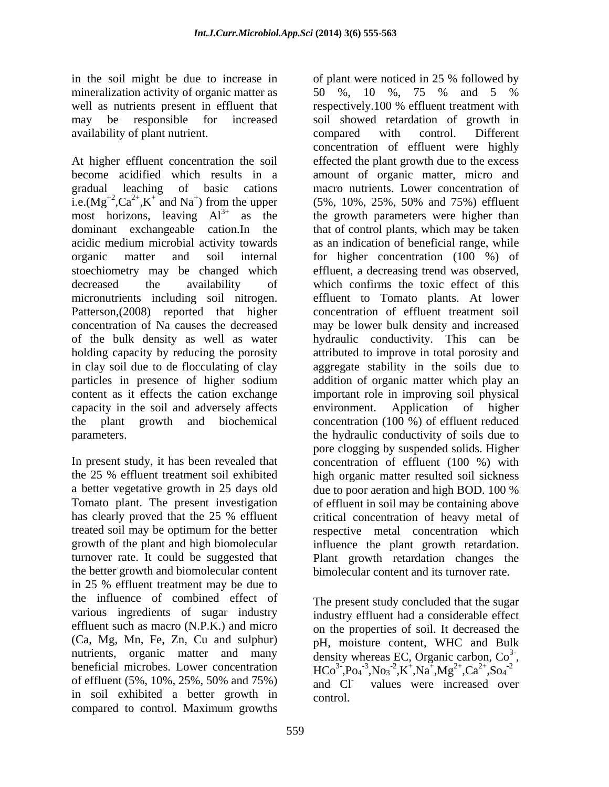in the soil might be due to increase in of plant were noticed in 25 % followed by mineralization activity of organic matter as  $10\%$ ,  $10\%$ ,  $75\%$  and  $5\%$ well as nutrients present in effluent that respectively.100 % effluent treatment with availability of plant nutrient. The compared with control. Different

i.e.( $Mg^{+2}$ , $Ca^{2+}$ , $K^+$  and Na<sup>+</sup>) from the upper Patterson,(2008) reported that higher concentration of Na causes the decreased capacity in the soil and adversely affects

In present study, it has been revealed that treated soil may be optimum for the better turnover rate. It could be suggested that the better growth and biomolecular content in 25 % effluent treatment may be due to the influence of combined effect of various ingredients of sugar industry effluent such as macro (N.P.K.) and micro (Ca, Mg, Mn, Fe, Zn, Cu and sulphur) nutrients, organic matter and many density whereas EC, Organic carbon, Co<sup>3-</sup>, beneficial microbes. Lower concentration  $HCo^{3.}Po_4^{-3}.No_3^{-2}.K^+,Na^+, Mg^{2+}.Ca^{2+}, So_4^{-2}$ of effluent (5%, 10%, 25%, 50% and 75%) in soil exhibited a better growth in compared to control. Maximum growths

may be responsible for increased soil showed retardation of growth in At higher effluent concentration the soil effected the plant growth due to the excess become acidified which results in a amount of organic matter, micro and gradual leaching of basic cations macro nutrients. Lower concentration of and  $Na<sup>+</sup>$ ) from the upper  $(5\%, 10\%, 25\%, 50\%$  and  $75\%)$  effluent most horizons, leaving  $Al^{3+}$  as the the growth parameters were higher than dominant exchangeable cation.In the that of control plants, which may be taken acidic medium microbial activity towards as an indication of beneficial range, while organic matter and soil internal for higher concentration (100 %) of stoechiometry may be changed which effluent, a decreasing trend was observed, decreased the availability of which confirms the toxic effect of this micronutrients including soil nitrogen. effluent to Tomato plants. At lower of the bulk density as well as water hydraulic conductivity. This can be holding capacity by reducing the porosity attributed to improve in total porosity and in clay soil due to de flocculating of clay aggregate stability in the soils due to particles in presence of higher sodium addition of organic matter which play an content as it effects the cation exchange important role in improving soil physical the plant growth and biochemical concentration (100 %) of effluent reduced parameters. The hydraulic conductivity of soils due to parameters. the 25 % effluent treatment soil exhibited high organic matter resulted soil sickness a better vegetative growth in 25 days old due to poor aeration and high BOD. 100 % Tomato plant. The present investigation of effluent in soil may be containing above has clearly proved that the 25 % effluent critical concentration of heavy metal of growth of the plant and high biomolecular influence the plant growth retardation. of plant were noticed in 25 % followed by 50 %, 10 %, 75 % and 5 % respectively.100 % effluent treatment with compared with control. Different concentration of effluent were highly (5%, 10%, 25%, 50% and 75%) effluent concentration of effluent treatment soil may be lower bulk density and increased environment. Application of higher pore clogging by suspended solids. Higher concentration of effluent (100 %) with respective metal concentration which Plant growth retardation changes the bimolecular content and its turnover rate.

> The present study concluded that the sugar industry effluent had a considerable effect on the properties of soil. It decreased the pH, moisture content, WHC and Bulk 3- ,  $,K^+$ ,  $Na^+$ ,  $Mg^{2+}$ ,  $Ca^{2+}$ ,  $So_4^{\text{-}2}$  $,Na^+, Mg^{2+}, Ca^{2+}, So_4^{-2}$  $,Mg^{2+},Ca^{2+},So_4^{-2}$ -2 and Cl- values were increased over control.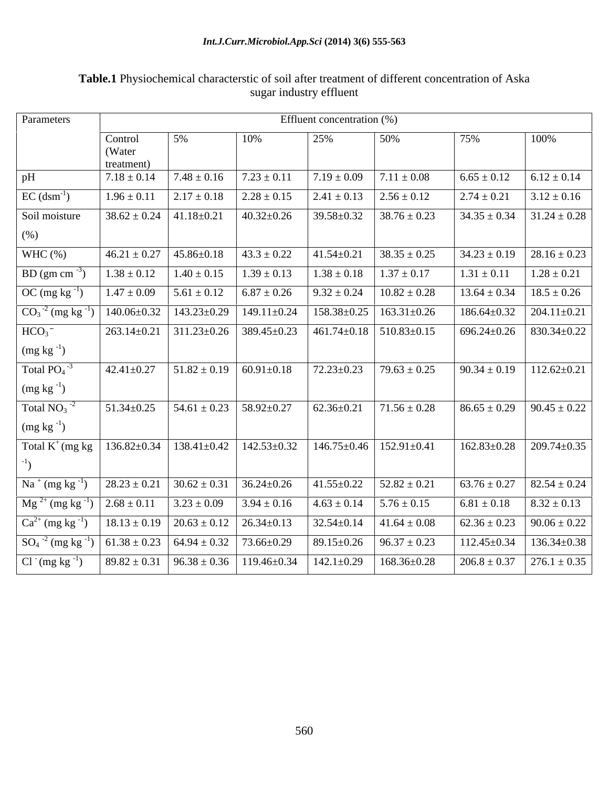| Parameters                                                                                                                                          |                               |                                                                                                   |                 | Effluent concentration (%)        |                                                                                                                               |                                       |      |
|-----------------------------------------------------------------------------------------------------------------------------------------------------|-------------------------------|---------------------------------------------------------------------------------------------------|-----------------|-----------------------------------|-------------------------------------------------------------------------------------------------------------------------------|---------------------------------------|------|
|                                                                                                                                                     | Control                       | 5%                                                                                                | 10%             | 25%                               | 50%                                                                                                                           | 75%                                   | 100% |
|                                                                                                                                                     | (Water                        |                                                                                                   |                 |                                   |                                                                                                                               |                                       |      |
| pH                                                                                                                                                  | treatment)<br>$7.18 \pm 0.14$ | $7.48 \pm 0.16$                                                                                   | $7.23 \pm 0.11$ | $7.19 \pm 0.09$ $7.11 \pm 0.08$   |                                                                                                                               | $6.65 \pm 0.12$ $6.12 \pm 0.14$       |      |
|                                                                                                                                                     | $1.96 \pm 0.11$               | $2.17 \pm 0.18$ $2.28 \pm 0.15$                                                                   |                 |                                   | $2.41 \pm 0.13$ $2.56 \pm 0.12$                                                                                               | $2.74 \pm 0.21$ $3.12 \pm 0.16$       |      |
| $EC$ (dsm <sup>-1</sup> )                                                                                                                           |                               |                                                                                                   |                 |                                   |                                                                                                                               |                                       |      |
| Soil moisture                                                                                                                                       |                               |                                                                                                   |                 |                                   | $38.62 \pm 0.24$   41.18±0.21   40.32±0.26   39.58±0.32   38.76 ± 0.23                                                        | $34.35 \pm 0.34$   31.24 $\pm$ 0.28   |      |
| (% )                                                                                                                                                |                               |                                                                                                   |                 |                                   |                                                                                                                               |                                       |      |
| WHC $(\%)$                                                                                                                                          |                               | $46.21 \pm 0.27$   $45.86 \pm 0.18$   $43.3 \pm 0.22$                                             |                 |                                   | $41.54 \pm 0.21$ $38.35 \pm 0.25$                                                                                             | $34.23 \pm 0.19$   28.16 $\pm$ 0.23   |      |
| BD $(gm cm^{-3})$                                                                                                                                   |                               | $1.38 \pm 0.12$   $1.40 \pm 0.15$   $1.39 \pm 0.13$                                               |                 | $1.38 \pm 0.18$   $1.37 \pm 0.17$ |                                                                                                                               | $1.31 \pm 0.11$ $1.28 \pm 0.21$       |      |
| $OC (mg kg^{-1})$                                                                                                                                   | $1.47 \pm 0.09$               |                                                                                                   |                 |                                   | $\begin{array}{ l c c c c c c c c } \hline 5.61 \pm 0.12 & 6.87 \pm 0.26 & 9.32 \pm 0.24 & 10.82 \pm 0.28 \hline \end{array}$ | $13.64 \pm 0.34$   $18.5 \pm 0.26$    |      |
| $CO_3^{-2}$ (mg kg <sup>-1</sup> )                                                                                                                  |                               | $140.06 \pm 0.32$   $143.23 \pm 0.29$   $149.11 \pm 0.24$   $158.38 \pm 0.25$   $163.31 \pm 0.26$ |                 |                                   |                                                                                                                               | $186.64 \pm 0.32$   204.11 $\pm$ 0.21 |      |
| HCO <sub>3</sub>                                                                                                                                    |                               | $263.14 \pm 0.21$ 311.23 $\pm$ 0.26 389.45 $\pm$ 0.23 461.74 $\pm$ 0.18 510.83 $\pm$ 0.15         |                 |                                   |                                                                                                                               | $696.24 \pm 0.26$ 830.34 $\pm$ 0.22   |      |
|                                                                                                                                                     |                               |                                                                                                   |                 |                                   |                                                                                                                               |                                       |      |
| $(mg kg^{-1})$                                                                                                                                      |                               |                                                                                                   |                 |                                   |                                                                                                                               |                                       |      |
| Total $PO4$                                                                                                                                         |                               |                                                                                                   |                 |                                   | $42.41\pm0.27$   $51.82\pm0.19$   $60.91\pm0.18$   $72.23\pm0.23$   $79.63\pm0.25$                                            | $90.34 \pm 0.19$   112.62 $\pm$ 0.21  |      |
| $(mg kg^{-1})$                                                                                                                                      |                               |                                                                                                   |                 |                                   |                                                                                                                               |                                       |      |
| Total $NO_3$ <sup>-2</sup>                                                                                                                          |                               | $51.34 \pm 0.25$   $54.61 \pm 0.23$   $58.92 \pm 0.27$                                            |                 |                                   | $62.36\pm0.21$   $71.56\pm0.28$                                                                                               | $86.65 \pm 0.29$ 90.45 $\pm$ 0.22     |      |
| $(mg kg^{-1})$                                                                                                                                      |                               |                                                                                                   |                 |                                   |                                                                                                                               |                                       |      |
| Total K <sup>+</sup> (mg kg   136.82±0.34   138.41±0.42   142.53±0.32   146.75±0.46   152.91±0.41                                                   |                               |                                                                                                   |                 |                                   |                                                                                                                               | $162.83 \pm 0.28$   209.74 $\pm$ 0.35 |      |
|                                                                                                                                                     |                               |                                                                                                   |                 |                                   |                                                                                                                               |                                       |      |
|                                                                                                                                                     |                               | $28.23 \pm 0.21$ $30.62 \pm 0.31$ $36.24 \pm 0.26$                                                |                 |                                   | $1.55 \pm 0.22$ $52.82 \pm 0.21$                                                                                              | $63.76 \pm 0.27$ 82.54 $\pm$ 0.24     |      |
| $Na^{+}$ (mg kg <sup>-1</sup> )                                                                                                                     |                               |                                                                                                   |                 |                                   |                                                                                                                               |                                       |      |
| Mg <sup>2+</sup> (mg kg <sup>-1</sup> ) $\Big  2.68 \pm 0.11 \Big  3.23 \pm 0.09 \Big  3.94 \pm 0.16 \Big  4.63 \pm 0.14 \Big  5.76 \pm 0.15 \Big $ |                               |                                                                                                   |                 |                                   |                                                                                                                               | $6.81 \pm 0.18$ $8.32 \pm 0.13$       |      |
| $Ca^{2+}$ (mg kg <sup>-1</sup> )                                                                                                                    |                               |                                                                                                   |                 |                                   | $18.13 \pm 0.19$ $20.63 \pm 0.12$ $26.34 \pm 0.13$ $32.54 \pm 0.14$ $41.64 \pm 0.08$                                          | $62.36 \pm 0.23$ 90.06 $\pm$ 0.22     |      |
| $SO_4^{-2}$ (mg kg <sup>-1</sup> )   61.38 ± 0.23   64.94 ± 0.32   73.66±0.29                                                                       |                               |                                                                                                   |                 |                                   | $89.15\pm0.26$ 96.37 $\pm$ 0.23                                                                                               | $112.45 \pm 0.34$   136.34 $\pm$ 0.38 |      |
|                                                                                                                                                     |                               |                                                                                                   |                 |                                   |                                                                                                                               | $206.8 \pm 0.37$ $276.1 \pm 0.35$     |      |
|                                                                                                                                                     |                               |                                                                                                   |                 |                                   |                                                                                                                               |                                       |      |

# **Table.1** Physiochemical characterstic of soil after treatment of different concentration of Aska sugar industry effluent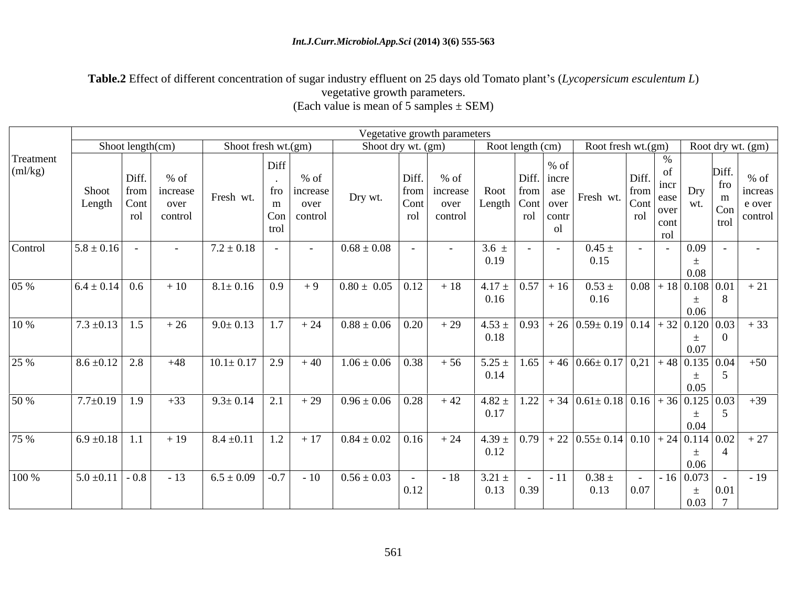Table.2 Effect of different concentration of sugar industry effluent on 25 days old Tomato plant's (Lycopersicum esculentum L) vegetative growth parameters. (Each value is mean of 5 samples  $\pm$  SEM)

|                      |                        |                                | Vegetative growth parameters          |                        |                   |                                               |                               |                        |                               |                           |                                                                            |                                                                                                                             |                                                                         |                                                        |                                                                    |
|----------------------|------------------------|--------------------------------|---------------------------------------|------------------------|-------------------|-----------------------------------------------|-------------------------------|------------------------|-------------------------------|---------------------------|----------------------------------------------------------------------------|-----------------------------------------------------------------------------------------------------------------------------|-------------------------------------------------------------------------|--------------------------------------------------------|--------------------------------------------------------------------|
|                      |                        | Shoot length(cm)               |                                       | Shoot fresh $wt.(gm)$  |                   |                                               | Shoot dry wt. (gm)            |                        |                               |                           | Root length (cm)                                                           | Root fresh $wt.(gm)$                                                                                                        |                                                                         | Root dry wt. (gm)                                      |                                                                    |
| Treatment<br>(ml/kg) | <b>Shoot</b><br>Length | Diff.<br>from  <br>Cont<br>rol | $%$ of<br>increase<br>over<br>control | Fresh wt.              | Diff<br>m<br>trol | $%$ of<br>fro increase<br>over<br>Con control | Dry wt.                       | Diff.<br>Cont          | $%$ of<br>over<br>rol control | from   increase   Root    | % of<br>Diff.<br>incre<br>  from  <br>ase<br>Length Cont over<br>rol contr | Fresh wt.                                                                                                                   | Diff<br><sub>1</sub> ncr<br>from<br>ease<br>Cont<br>over<br>rol<br>cont | Diff.<br>fro<br>Dry<br>m<br>wt.<br>Con                 | $%$ of<br>increas<br>e over<br>$\int$ trol $\vert$ control $\vert$ |
| Control              | $5.8 \pm 0.16$         |                                |                                       | $7.2 \pm 0.18$         |                   | $\sim$                                        | $0.68 \pm 0.08$               |                        |                               | $3.6 \pm$<br>0.19         | $\sim$ $\sim$                                                              | $0.45 \pm$<br>0.15                                                                                                          | $\overline{\phantom{0}}$                                                | $\vert 0.09 \vert$<br>0.08                             |                                                                    |
| 05 %                 | $6.4 \pm 0.14$ 0.6     |                                | $+10$                                 | $8.1 \pm 0.16$ 0.9 + 9 |                   |                                               | $0.80 \pm 0.05$   0.12   + 18 |                        |                               | 0.16                      | $4.17 \pm 0.57 + 16$                                                       | $0.53 \pm$<br>0.16                                                                                                          | $\vert 0.08 \vert + 18 \vert 0.108 \vert 0.01 \vert$                    | $\pm$<br>0.06                                          | $+21$                                                              |
| 10 %                 | $7.3 \pm 0.13$ 1.5     |                                | $+26$                                 | $9.0 \pm 0.13$         | 1.7               | $+24$                                         | $0.88 \pm 0.06$               | 0.20                   | $+29$                         | $4.53 \pm$<br>0.18        |                                                                            | $\vert 0.93 \vert + 26 \vert 0.59 \pm 0.19 \vert 0.14 \vert + 32 \vert 0.120 \vert 0.03 \vert$                              |                                                                         | 0.07                                                   | $+33$                                                              |
| 25 %                 | $8.6 \pm 0.12$ 2.8     |                                | $+48$                                 | $10.1 \pm 0.17$   2.9  |                   | $+40$                                         | $1.06 \pm 0.06$ 0.38          |                        | $+56$                         | 0.14                      |                                                                            | $\left[ 5.25 \pm \left[ 1.65 \right] + 46 \left[ 0.66 \pm 0.17 \right] 0.21 \right] + 48 \left[ 0.135 \right] 0.04 \right]$ |                                                                         | 0.05                                                   | $+50$                                                              |
| 50 %                 | $7.7 \pm 0.19$ 1.9     |                                | $+33$                                 | $9.3 \pm 0.14$         | $\vert 2.1 \vert$ | $+29$                                         | $0.96 \pm 0.06$               | 0.28                   | $+42$                         | 0.17                      |                                                                            | $\mid$ 4.82 $\pm$   1.22   + 34   0.61 $\pm$ 0.18   0.16   + 36   0.125   0.03                                              |                                                                         | 0.04                                                   | $+39$                                                              |
| 75 %                 | $6.9 \pm 0.18$ 1.1     |                                | $+19$                                 | $8.4 \pm 0.11$         | 1.2               |                                               | $+17$ 0.84 $\pm$ 0.02         | $\vert 0.16 \vert$     | $+24$                         | $4.39 \pm 0.79$ .<br>0.12 |                                                                            | $+ 22   0.55 \pm 0.14   0.10   + 24   0.114   0.02  $                                                                       |                                                                         | 土<br>0.06                                              | $+27$                                                              |
| 100 %                | $5.0 \pm 0.11$ - 0.8   |                                | $-13$                                 | $6.5 \pm 0.09$ -0.7    |                   | $-10$                                         | $0.56 \pm 0.03$               | $\sim$ $ \sim$<br>0.12 | $-18$                         | 3.21:<br>$0.13$   0.39    | - 11<br><b>Contract Contract</b>                                           | $0.38 \pm$<br>0.13                                                                                                          | $\sim$<br>0.07                                                          | $-16$ 0.073<br>$0.01\,$<br>土<br>0.03<br>$\overline{ }$ | $-19$                                                              |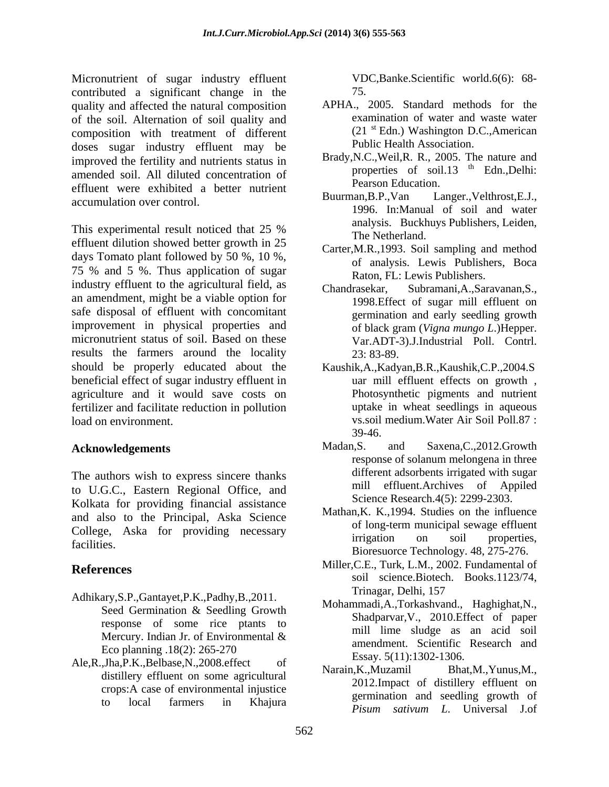Micronutrient of sugar industry effluent contributed a significant change in the quality and affected the natural composition of the soil. Alternation of soil quality and composition with treatment of different doses sugar industry effluent may be improved the fertility and nutrients status in amended soil. All diluted concentration of effluent were exhibited a better nutrient<br>
Buurman, B.P., Van Langer., Velthrost, E.J., accumulation over control.

This experimental result noticed that 25 % effluent dilution showed better growth in 25 days Tomato plant followed by 50 %, 10 %, 75 % and 5 %. Thus application of sugar industry effluent to the agricultural field, as Chandrasekar. an amendment, might be a viable option for safe disposal of effluent with concomitant improvement in physical properties and micronutrient status of soil. Based on these Var.ADT-3).J.Industrial Poll. Contrl. results the farmers around the locality 23:83-89. should be properly educated about the Kaushik,A.,Kadyan,B.R.,Kaushik,C.P.,2004.S beneficial effect of sugar industry effluent in agriculture and it would save costs on fertilizer and facilitate reduction in pollution load on environment. vs.soil medium.Water Air Soil Poll.87 :

The authors wish to express sincere thanks to U.G.C., Eastern Regional Office, and Kolkata for providing financial assistance and also to the Principal, Aska Science College, Aska for providing necessary of long-term municipal sewage emittent contract of the contract of the contract of the contract of the contract of the contract of the contract of the contract of the contract of the c

- Adhikary, S.P., Gantayet, P.K., Padhy, B., 2011. Trinagar, Delhi, 157 response of some rice ptants to Eco planning .18(2): 265-270
- Ale,R.,Jha,P.K.,Belbase,N.,2008.effect of Essay. 3(11):1302-1300.<br>Narain,K.,Muzamil Bhat.M.,Yunus.M. distillery effluent on some agricultural crops:A case of environmental injustice

VDC,Banke.Scientific world.6(6): 68- 75.

- APHA., 2005. Standard methods for the examination of water and waste water  $(21<sup>st</sup> Edn.)$  Washington D.C., American Public Health Association.
- Brady,N.C.,Weil,R. R., 2005. The nature and properties of soil.13<sup>th</sup> Edn., Delhi: th Edn.,Delhi: Pearson Education.
- Buurman,B.P.,Van Langer.,Velthrost,E.J., 1996. In:Manual of soil and water analysis. Buckhuys Publishers, Leiden, The Netherland.
- Carter,M.R.,1993. Soil sampling and method of analysis. Lewis Publishers, Boca Raton, FL: Lewis Publishers.
- Subramani, A., Saravanan, S., 1998.Effect of sugar mill effluent on germination and early seedling growth of black gram (*Vigna mungo L*.)Hepper. 23: 83-89.
- uar mill effluent effects on growth , Photosynthetic pigments and nutrient uptake in wheat seedlings in aqueous 39-46.
- Acknowledgements Madan, S. and Saxena, C., 2012. Growth Madan,S. and Saxena,C.,2012.Growth response of solanum melongena in three different adsorbents irrigated with sugar mill effluent.Archives of Appiled Science Research.4(5): 2299-2303.
- facilities. Bioresuorce Technology. 48, 275-276. Mathan,K. K.,1994. Studies on the influence of long-term municipal sewage effluent irrigation on soil properties,
- **References** MILLET, L.E., Turk, L.M., 2002. Fundamental of Miller,C.E., Turk, L.M., 2002. Fundamental of soil science.Biotech. Books.1123/74, Trinagar, Delhi, 157
	- Seed Germination  $\&$  Seedling Growth  $\frac{N}{2}$   $\frac{N}{2}$   $\frac{N}{2}$   $\frac{N}{2}$   $\frac{N}{2}$   $\frac{N}{2}$   $\frac{N}{2}$   $\frac{N}{2}$   $\frac{N}{2}$   $\frac{N}{2}$   $\frac{N}{2}$   $\frac{N}{2}$   $\frac{N}{2}$   $\frac{N}{2}$   $\frac{N}{2}$   $\frac{N}{2}$   $\frac{N}{2}$   $\frac{N}{2}$   $\frac$ Mercury. Indian Jr. of Environmental  $\&$  and  $\frac{m}{2}$  and  $\frac{m}{2}$  and  $\frac{m}{2}$  and  $\frac{m}{2}$  and  $\frac{m}{2}$ Mohammadi,A.,Torkashvand., Haghighat,N., Shadparvar,V., 2010.Effect of paper mill lime sludge as an acid soil amendment. Scientific Research and Essay. 5(11):1302-1306.
	- to local farmers in Khajura becommunity and securing growth of Narain,K.,Muzamil Bhat,M.,Yunus,M., 2012.Impact of distillery effluent on germination and seedling growth of *Pisum sativum L*. Universal J.of